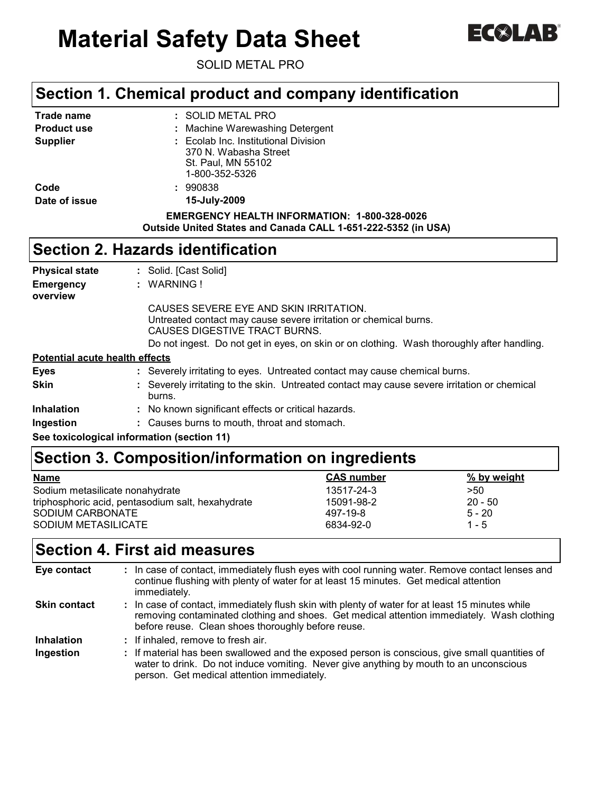# **Material Safety Data Sheet**



SOLID METAL PRO

#### **Section 1. Chemical product and company identification**

|                    | <b>Section 2. Hazards identification</b>                                                                             |
|--------------------|----------------------------------------------------------------------------------------------------------------------|
|                    | <b>EMERGENCY HEALTH INFORMATION: 1-800-328-0026</b><br>Outside United States and Canada CALL 1-651-222-5352 (in USA) |
| Date of issue      | 15-July-2009                                                                                                         |
| Code               | : 990838                                                                                                             |
|                    | 1-800-352-5326                                                                                                       |
|                    | St. Paul, MN 55102                                                                                                   |
|                    | 370 N. Wabasha Street                                                                                                |
| <b>Supplier</b>    | : Ecolab Inc. Institutional Division                                                                                 |
| <b>Product use</b> | : Machine Warewashing Detergent                                                                                      |
| Trade name         | : SOLID METAL PRO                                                                                                    |

| <b>Physical state</b>                 | : Solid. [Cast Solid]                                                                                                                       |
|---------------------------------------|---------------------------------------------------------------------------------------------------------------------------------------------|
| <b>Emergency</b><br>overview          | : WARNING!                                                                                                                                  |
|                                       | CAUSES SEVERE EYE AND SKIN IRRITATION.<br>Untreated contact may cause severe irritation or chemical burns.<br>CAUSES DIGESTIVE TRACT BURNS. |
|                                       | Do not ingest. Do not get in eyes, on skin or on clothing. Wash thoroughly after handling.                                                  |
| <b>Potential acute health effects</b> |                                                                                                                                             |
| <b>Eyes</b>                           | : Severely irritating to eyes. Untreated contact may cause chemical burns.                                                                  |
| Skin                                  | : Severely irritating to the skin. Untreated contact may cause severe irritation or chemical<br>burns.                                      |
| <b>Inhalation</b>                     | : No known significant effects or critical hazards.                                                                                         |
| Ingestion                             | : Causes burns to mouth, throat and stomach.                                                                                                |
|                                       | See toxicological information (section 11)                                                                                                  |

## **Section 3. Composition/information on ingredients**

| <b>Name</b>                                       | <b>CAS number</b> | % by weight |
|---------------------------------------------------|-------------------|-------------|
| Sodium metasilicate nonahydrate                   | 13517-24-3        | >50         |
| triphosphoric acid, pentasodium salt, hexahydrate | 15091-98-2        | $20 - 50$   |
| SODIUM CARBONATE                                  | 497-19-8          | $5 - 20$    |
| SODIUM METASILICATE                               | 6834-92-0         | $1 - 5$     |

### **Section 4. First aid measures**

| Eye contact         | : In case of contact, immediately flush eyes with cool running water. Remove contact lenses and<br>continue flushing with plenty of water for at least 15 minutes. Get medical attention<br>immediately.                                            |  |
|---------------------|-----------------------------------------------------------------------------------------------------------------------------------------------------------------------------------------------------------------------------------------------------|--|
| <b>Skin contact</b> | : In case of contact, immediately flush skin with plenty of water for at least 15 minutes while<br>removing contaminated clothing and shoes. Get medical attention immediately. Wash clothing<br>before reuse. Clean shoes thoroughly before reuse. |  |
| <b>Inhalation</b>   | : If inhaled, remove to fresh air.                                                                                                                                                                                                                  |  |
| Ingestion           | : If material has been swallowed and the exposed person is conscious, give small quantities of<br>water to drink. Do not induce vomiting. Never give anything by mouth to an unconscious<br>person. Get medical attention immediately.              |  |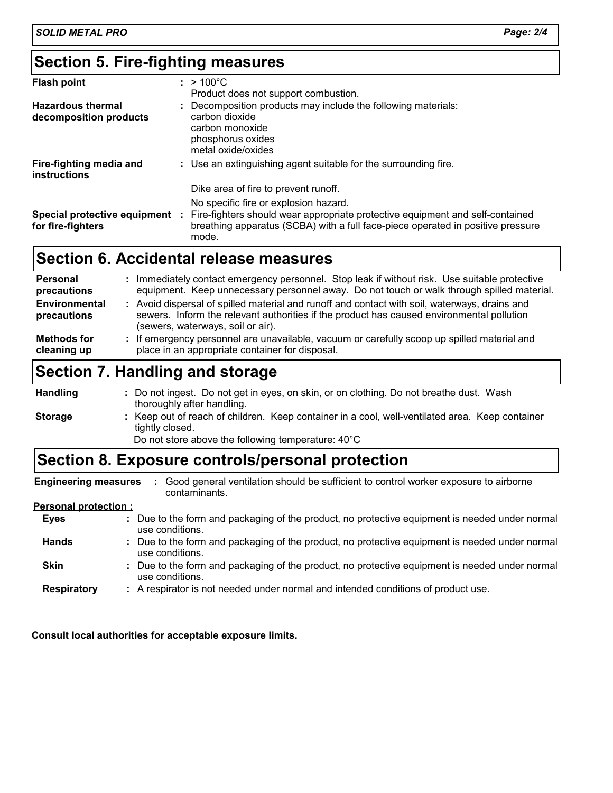#### **Section 5. Fire-fighting measures**

| <b>Flash point</b>                                 | $: > 100^{\circ}$ C<br>Product does not support combustion.                                                                                                                                                        |
|----------------------------------------------------|--------------------------------------------------------------------------------------------------------------------------------------------------------------------------------------------------------------------|
| <b>Hazardous thermal</b><br>decomposition products | : Decomposition products may include the following materials:<br>carbon dioxide<br>carbon monoxide<br>phosphorus oxides<br>metal oxide/oxides                                                                      |
| Fire-fighting media and<br>instructions            | : Use an extinguishing agent suitable for the surrounding fire.                                                                                                                                                    |
|                                                    | Dike area of fire to prevent runoff.                                                                                                                                                                               |
| Special protective equipment<br>for fire-fighters  | No specific fire or explosion hazard.<br>Fire-fighters should wear appropriate protective equipment and self-contained<br>breathing apparatus (SCBA) with a full face-piece operated in positive pressure<br>mode. |

#### **Section 6. Accidental release measures**

| Personal<br>precautions      | : Immediately contact emergency personnel. Stop leak if without risk. Use suitable protective<br>equipment. Keep unnecessary personnel away. Do not touch or walk through spilled material.                                     |
|------------------------------|---------------------------------------------------------------------------------------------------------------------------------------------------------------------------------------------------------------------------------|
| Environmental<br>precautions | : Avoid dispersal of spilled material and runoff and contact with soil, waterways, drains and<br>sewers. Inform the relevant authorities if the product has caused environmental pollution<br>(sewers, waterways, soil or air). |
| Methods for<br>cleaning up   | : If emergency personnel are unavailable, vacuum or carefully scoop up spilled material and<br>place in an appropriate container for disposal.                                                                                  |

### **Section 7. Handling and storage**

: Keep out of reach of children. Keep container in a cool, well-ventilated area. Keep container tightly closed. Do not ingest. Do not get in eyes, on skin, or on clothing. Do not breathe dust. Wash **:** thoroughly after handling. **Handling Storage** Do not store above the following temperature: 40°C

#### **Section 8. Exposure controls/personal protection**

**Engineering measures :**Good general ventilation should be sufficient to control worker exposure to airborne contaminants.

#### **Personal protection :**

- Due to the form and packaging of the product, no protective equipment is needed under normal **:** use conditions. **Eyes Hands** : Due to the form and packaging of the product, no protective equipment is needed under normal use conditions.
- Due to the form and packaging of the product, no protective equipment is needed under normal **:** use conditions. **Skin**
- A respirator is not needed under normal and intended conditions of product use. **: Respiratory**

**Consult local authorities for acceptable exposure limits.**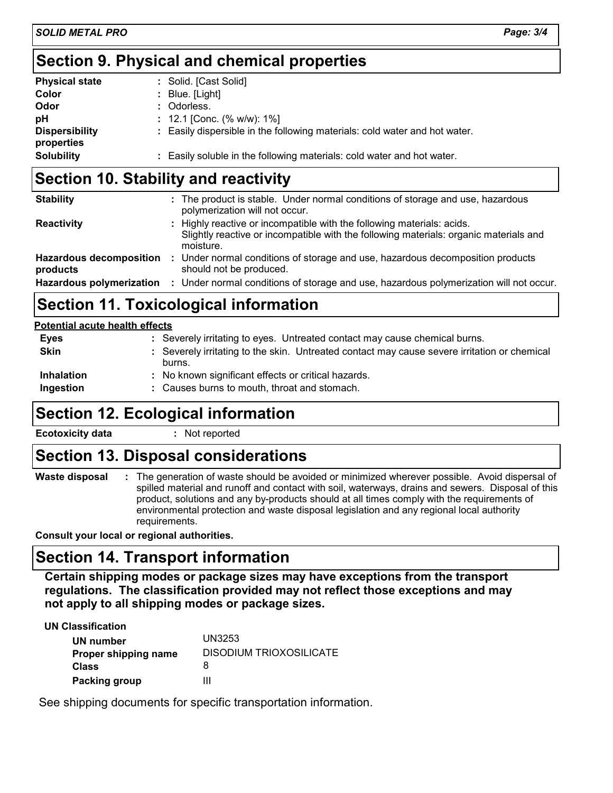#### **Section 9. Physical and chemical properties**

| <b>Physical state</b>               | : Solid. [Cast Solid]                                                      |
|-------------------------------------|----------------------------------------------------------------------------|
| Color                               | $\therefore$ Blue. [Light]                                                 |
| Odor                                | : Odorless.                                                                |
| pH                                  | : 12.1 [Conc. (% w/w): 1%]                                                 |
| <b>Dispersibility</b><br>properties | : Easily dispersible in the following materials: cold water and hot water. |
| <b>Solubility</b>                   | : Easily soluble in the following materials: cold water and hot water.     |

#### **Section 10. Stability and reactivity**

| <b>Stability</b>                           | : The product is stable. Under normal conditions of storage and use, hazardous<br>polymerization will not occur.                                                             |
|--------------------------------------------|------------------------------------------------------------------------------------------------------------------------------------------------------------------------------|
| Reactivity                                 | : Highly reactive or incompatible with the following materials: acids.<br>Slightly reactive or incompatible with the following materials: organic materials and<br>moisture. |
| <b>Hazardous decomposition</b><br>products | : Under normal conditions of storage and use, hazardous decomposition products<br>should not be produced.                                                                    |
|                                            | Hazardous polymerization : Under normal conditions of storage and use, hazardous polymerization will not occur.                                                              |

### **Section 11. Toxicological information**

#### **Potential acute health effects**

| <b>Eyes</b>       | : Severely irritating to eyes. Untreated contact may cause chemical burns.                             |
|-------------------|--------------------------------------------------------------------------------------------------------|
| <b>Skin</b>       | : Severely irritating to the skin. Untreated contact may cause severe irritation or chemical<br>burns. |
| <b>Inhalation</b> | : No known significant effects or critical hazards.                                                    |
| Ingestion         | : Causes burns to mouth, throat and stomach.                                                           |

#### **Section 12. Ecological information**

#### **Ecotoxicity data :** Not reported

#### **Section 13. Disposal considerations**

The generation of waste should be avoided or minimized wherever possible. Avoid dispersal of **:** spilled material and runoff and contact with soil, waterways, drains and sewers. Disposal of this product, solutions and any by-products should at all times comply with the requirements of environmental protection and waste disposal legislation and any regional local authority requirements. **Waste disposal**

**Consult your local or regional authorities.**

#### **Section 14. Transport information**

**Certain shipping modes or package sizes may have exceptions from the transport regulations. The classification provided may not reflect those exceptions and may not apply to all shipping modes or package sizes.**

**UN Classification**

| UN number            | UN3253                  |
|----------------------|-------------------------|
| Proper shipping name | DISODIUM TRIOXOSILICATE |
| <b>Class</b>         |                         |
| <b>Packing group</b> | Ш                       |

See shipping documents for specific transportation information.